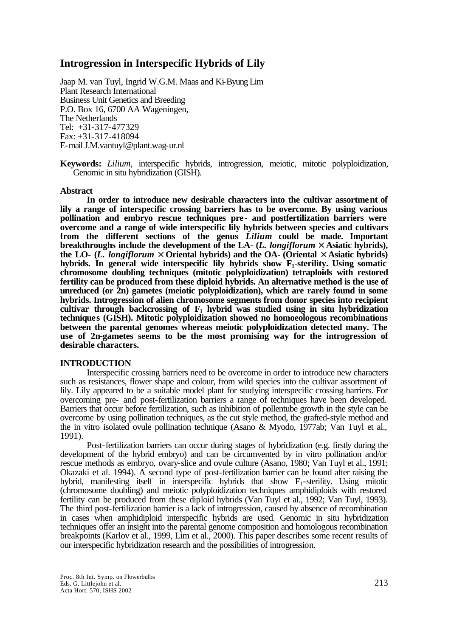# **Introgression in Interspecific Hybrids of Lily**

Jaap M. van Tuyl, Ingrid W.G.M. Maas and Ki-Byung Lim Plant Research International Business Unit Genetics and Breeding P.O. Box 16, 6700 AA Wageningen, The Netherlands Tel: +31-317-477329 Fax: +31-317-418094 E-mail J.M.vantuyl@plant.wag-ur.nl

**Keywords:** *Lilium*, interspecific hybrids, introgression, meiotic, mitotic polyploidization, Genomic in situ hybridization (GISH).

## **Abstract**

**In order to introduce new desirable characters into the cultivar assortment of lily a range of interspecific crossing barriers has to be overcome. By using various pollination and embryo rescue techniques pre- and postfertilization barriers were overcome and a range of wide interspecific lily hybrids between species and cultivars from the different sections of the genus** *Lilium* **could be made. Important breakthroughs include the development of the LA- (***L. longiflorum* **´ Asiatic hybrids), the LO- (***L. longiflorum* **´ Oriental hybrids) and the OA- (Oriental ´ Asiatic hybrids) hybrids. In general wide interspecific lily hybrids show F1-sterility. Using somatic chromosome doubling techniques (mitotic polyploidization) tetraploids with restored fertility can be produced from these diploid hybrids. An alternative method is the use of unreduced (or 2n) gametes (meiotic polyploidization), which are rarely found in some hybrids. Introgression of alien chromosome segments from donor species into recipient cultivar through backcrossing of F1 hybrid was studied using in situ hybridization techniques (GISH). Mitotic polyploidization showed no homoeologous recombinations between the parental genomes whereas meiotic polyploidization detected many. The use of 2n-gametes seems to be the most promising way for the introgression of desirable characters.** 

## **INTRODUCTION**

Interspecific crossing barriers need to be overcome in order to introduce new characters such as resistances, flower shape and colour, from wild species into the cultivar assortment of lily. Lily appeared to be a suitable model plant for studying interspecific crossing barriers. For overcoming pre- and post-fertilization barriers a range of techniques have been developed. Barriers that occur before fertilization, such as inhibition of pollentube growth in the style can be overcome by using pollination techniques, as the cut style method, the grafted-style method and the in vitro isolated ovule pollination technique (Asano & Myodo, 1977ab; Van Tuyl et al., 1991).

Post-fertilization barriers can occur during stages of hybridization (e.g. firstly during the development of the hybrid embryo) and can be circumvented by in vitro pollination and/or rescue methods as embryo, ovary-slice and ovule culture (Asano, 1980; Van Tuyl et al., 1991; Okazaki et al. 1994). A second type of post-fertilization barrier can be found after raising the hybrid, manifesting itself in interspecific hybrids that show  $F_1$ -sterility. Using mitotic (chromosome doubling) and meiotic polyploidization techniques amphidiploids with restored fertility can be produced from these diploid hybrids (Van Tuyl et al., 1992; Van Tuyl, 1993). The third post-fertilization barrier is a lack of introgression, caused by absence of recombination in cases when amphidiploid interspecific hybrids are used. Genomic in situ hybridization techniques offer an insight into the parental genome composition and homologous recombination breakpoints (Karlov et al., 1999, Lim et al., 2000). This paper describes some recent results of our interspecific hybridization research and the possibilities of introgression.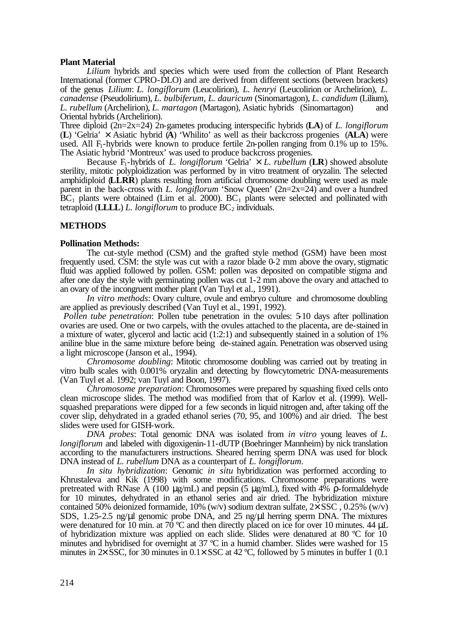## **Plant Material**

*Lilium* hybrids and species which were used from the collection of Plant Research International (former CPRO-DLO) and are derived from different sections (between brackets) of the genus *Lilium*: *L. longiflorum* (Leucolirion), *L. henryi* (Leucolirion or Archelirion), *L. canadense* (Pseudolirium), *L. bulbiferum, L. dauricum* (Sinomartagon), *L. candidum* (Lilium), *L. rubellum* (Archelirion), *L. martagon* (Martagon), Asiatic hybrids (Sinomartagon) and Oriental hybrids (Archelirion).

Three diploid (2n=2x=24) 2n-gametes producing interspecific hybrids (**LA**) of *L. longiflorum* (**L**) 'Gelria' × Asiatic hybrid (**A**) 'Whilito' as well as their backcross progenies (**ALA**) were used. All F<sub>1</sub>-hybrids were known to produce fertile 2n-pollen ranging from 0.1% up to 15%. The Asiatic hybrid 'Montreux' was used to produce backcross progenies.

Because F<sub>1</sub>-hybrids of *L. longiflorum* 'Gelria'  $\times$  *L. rubellum* (**LR**) showed absolute sterility, mitotic polyploidization was performed by in vitro treatment of oryzalin. The selected amphidiploid (**LLRR**) plants resulting from artificial chromosome doubling were used as male parent in the back-cross with *L. longiflorum* 'Snow Queen' (2n=2x=24) and over a hundred  $BC_1$  plants were obtained (Lim et al. 2000).  $BC_1$  plants were selected and pollinated with tetraploid (**LLLL**) *L. longiflorum* to produce  $BC_2$  individuals.

## **METHODS**

#### **Pollination Methods:**

The cut-style method (CSM) and the grafted style method (GSM) have been most frequently used. CSM: the style was cut with a razor blade 0-2 mm above the ovary, stigmatic fluid was applied followed by pollen. GSM: pollen was deposited on compatible stigma and after one day the style with germinating pollen was cut 1-2 mm above the ovary and attached to an ovary of the incongruent mother plant (Van Tuyl et al., 1991).

*In vitro methods*: Ovary culture, ovule and embryo culture and chromosome doubling are applied as previously described (Van Tuyl et al., 1991, 1992).

*Pollen tube penetration*: Pollen tube penetration in the ovules: 5.10 days after pollination ovaries are used. One or two carpels, with the ovules attached to the placenta, are de-stained in a mixture of water, glycerol and lactic acid (1:2:1) and subsequently stained in a solution of 1% aniline blue in the same mixture before being de-stained again. Penetration was observed using a light microscope (Janson et al., 1994).

*Chromosome doubling*: Mitotic chromosome doubling was carried out by treating in vitro bulb scales with 0.001% oryzalin and detecting by flowcytometric DNA-measurements (Van Tuyl et al. 1992; van Tuyl and Boon, 1997).

*Chromosome preparation*: Chromosomes were prepared by squashing fixed cells onto clean microscope slides. The method was modified from that of Karlov et al. (1999). Wellsquashed preparations were dipped for a few seconds in liquid nitrogen and, after taking off the cover slip, dehydrated in a graded ethanol series (70, 95, and 100%) and air dried. The best slides were used for GISH-work.

*DNA probes*: Total genomic DNA was isolated from *in vitro* young leaves of *L. longiflorum* and labeled with digoxigenin-11-dUTP (Boehringer Mannheim) by nick translation according to the manufacturers instructions. Sheared herring sperm DNA was used for block DNA instead of *L. rubellum* DNA as a counterpart of *L. longiflorum*.

*In situ hybridization*: Genomic *in situ* hybridization was performed according to Khrustaleva and Kik (1998) with some modifications. Chromosome preparations were pretreated with RNase A (100 μg/mL) and pepsin (5 μg/mL), fixed with  $4\frac{1}{2}$  ρ-formaldehyde for 10 minutes, dehydrated in an ethanol series and air dried. The hybridization mixture contained 50% deionized formamide, 10% (w/v) sodium dextran sulfate,  $2 \times$  SSC, 0.25% (w/v) SDS, 1.25-2.5 ng/μl genomic probe DNA, and 25 ng/μl herring sperm DNA. The mixtures were denatured for 10 min. at 70 °C and then directly placed on ice for over 10 minutes. 44  $\mu$ L of hybridization mixture was applied on each slide. Slides were denatured at 80 ºC for 10 minutes and hybridised for overnight at 37 ºC in a humid chamber. Slides were washed for 15 minutes in  $2 \times$  SSC, for 30 minutes in 0.1 $\times$  SSC at 42 °C, followed by 5 minutes in buffer 1 (0.1)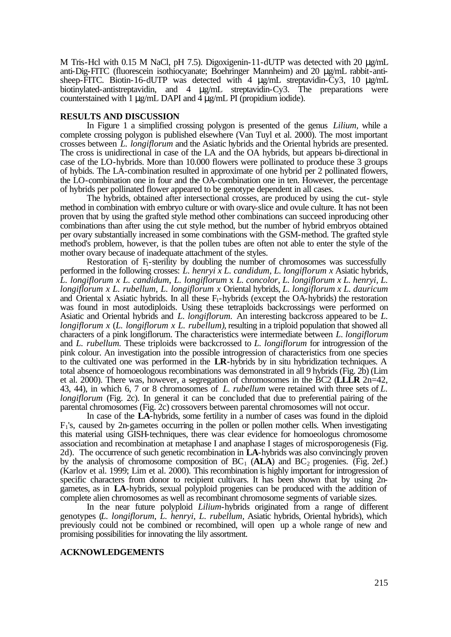M Tris-Hcl with 0.15 M NaCl, pH 7.5). Digoxigenin-11-dUTP was detected with 20  $\mu$ g/mL anti-Dig-FITC (fluorescein isothiocyanate; Boehringer Mannheim) and 20 μg/mL rabbit-antisheep-FITC. Biotin-16-dUTP was detected with 4 μg/mL streptavidin-Cy3, 10 μg/mL biotinylated-antistreptavidin, and 4 μg/mL streptavidin-Cy3. The preparations were counterstained with 1 μg/mL DAPI and 4 μg/mL PI (propidium iodide).

#### **RESULTS AND DISCUSSION**

In Figure 1 a simplified crossing polygon is presented of the genus *Lilium,* while a complete crossing polygon is published elsewhere (Van Tuyl et al. 2000). The most important crosses between *L. longiflorum* and the Asiatic hybrids and the Oriental hybrids are presented. The cross is unidirectional in case of the LA and the OA hybrids, but appears bi-directional in case of the LO-hybrids. More than 10.000 flowers were pollinated to produce these 3 groups of hybids. The LA-combination resulted in approximate of one hybrid per 2 pollinated flowers, the LO-combination one in four and the OA-combination one in ten. However, the percentage of hybrids per pollinated flower appeared to be genotype dependent in all cases.

The hybrids, obtained after intersectional crosses, are produced by using the cut- style method in combination with embryo culture or with ovary-slice and ovule culture. It has not been proven that by using the grafted style method other combinations can succeed inproducing other combinations than after using the cut style method, but the number of hybrid embryos obtained per ovary substantially increased in some combinations with the GSM-method. The grafted style method's problem, however, is that the pollen tubes are often not able to enter the style of the mother ovary because of inadequate attachment of the styles.

Restoration of F-sterility by doubling the number of chromosomes was successfully performed in the following crosses: *L. henryi x L. candidum*, *L. longiflorum x* Asiatic hybrids, *L. longiflorum x L. candidum*, *L. longiflorum* x *L. concolor*, *L. longiflorum x L. henryi, L. longiflorum x L. rubellum, L. longiflorum x* Oriental hybrids, *L. longiflorum x L. dauricum*  and Oriental x Asiatic hybrids. In all these  $F_1$ -hybrids (except the OA-hybrids) the restoration was found in most autodiploids. Using these tetraploids backcrossings were performed on Asiatic and Oriental hybrids and *L. longiflorum.* An interesting backcross appeared to be *L. longiflorum x* (*L. longiflorum x L. rubellum)*, resulting in a triploid population that showed all characters of a pink longiflorum. The characteristics were intermediate between *L. longiflorum* and *L. rubellum.* These triploids were backcrossed to *L. longiflorum* for introgression of the pink colour. An investigation into the possible introgression of characteristics from one species to the cultivated one was performed in the **LR**-hybrids by in situ hybridization techniques. A total absence of homoeologous recombinations was demonstrated in all 9 hybrids (Fig. 2b) (Lim et al. 2000). There was, however, a segregation of chromosomes in the BC2 (**LLLR** 2n=42, 43, 44), in which 6, 7 or 8 chromosomes of *L. rubellum* were retained with three sets of *L. longiflorum* (Fig. 2c). In general it can be concluded that due to preferential pairing of the parental chromosomes (Fig. 2c) crossovers between parental chromosomes will not occur.

In case of the **LA**-hybrids, some fertility in a number of cases was found in the diploid  $F_1$ 's, caused by 2n-gametes occurring in the pollen or pollen mother cells. When investigating this material using GISH-techniques, there was clear evidence for homoeologus chromosome association and recombination at metaphase I and anaphase I stages of microsporogenesis (Fig. 2d). The occurrence of such genetic recombination in **LA**-hybrids was also convincingly proven by the analysis of chromosome composition of  $BC_1$  ( $ALA$ ) and  $BC_2$  progenies. (Fig. 2ef.) (Karlov et al. 1999; Lim et al. 2000). This recombination is highly important for introgression of specific characters from donor to recipient cultivars. It has been shown that by using 2ngametes, as in **LA**-hybrids, sexual polyploid progenies can be produced with the addition of complete alien chromosomes as well as recombinant chromosome segments of variable sizes.

In the near future polyploid *Lilium*-hybrids originated from a range of different genotypes (*L. longiflorum*, *L. henryi*, *L. rubellum,* Asiatic hybrids, Oriental hybrids), which previously could not be combined or recombined, will open up a whole range of new and promising possibilities for innovating the lily assortment.

## **ACKNOWLEDGEMENTS**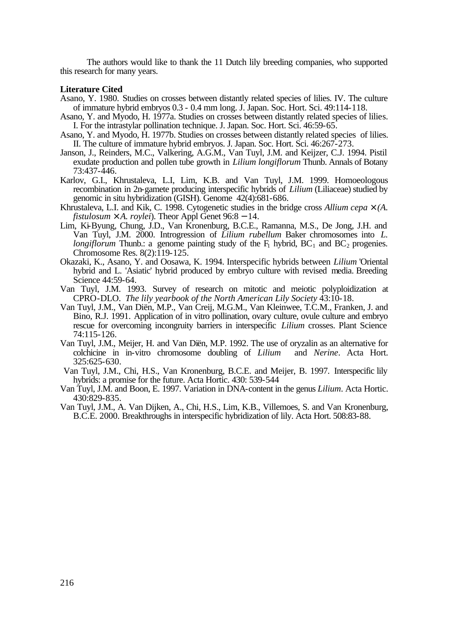The authors would like to thank the 11 Dutch lily breeding companies, who supported this research for many years.

### **Literature Cited**

- Asano, Y. 1980. Studies on crosses between distantly related species of lilies. IV. The culture of immature hybrid embryos 0.3 - 0.4 mm long. J. Japan. Soc. Hort. Sci. 49:114-118.
- Asano, Y. and Myodo, H. 1977a. Studies on crosses between distantly related species of lilies. I. For the intrastylar pollination technique. J. Japan. Soc. Hort. Sci. 46:59-65.
- Asano, Y. and Myodo, H. 1977b. Studies on crosses between distantly related species of lilies. II. The culture of immature hybrid embryos. J. Japan. Soc. Hort. Sci. 46:267-273.
- Janson, J., Reinders, M.C., Valkering, A.G.M., Van Tuyl, J.M. and Keijzer, C.J. 1994. Pistil exudate production and pollen tube growth in *Lilium longiflorum* Thunb. Annals of Botany 73:437-446.
- Karlov, G.I., Khrustaleva, L.I, Lim, K.B. and Van Tuyl, J.M. 1999. Homoeologous recombination in 2n-gamete producing interspecific hybrids of *Lilium* (Liliaceae) studied by genomic in situ hybridization (GISH). Genome 42(4):681-686.
- Khrustaleva, L.I. and Kik, C. 1998. Cytogenetic studies in the bridge cross *Allium cepa ´ (A. fistulosum ´ A. roylei*). Theor Appl Genet 96:8 − 14.
- Lim, Ki-Byung, Chung, J.D., Van Kronenburg, B.C.E., Ramanna, M.S., De Jong, J.H. and Van Tuyl, J.M. 2000. Introgression of *Lilium rubellum* Baker chromosomes into *L. longiflorum* Thunb.: a genome painting study of the  $F_1$  hybrid,  $BC_1$  and  $BC_2$  progenies. Chromosome Res. 8(2):119-125.
- Okazaki, K., Asano, Y. and Oosawa, K. 1994. Interspecific hybrids between *Lilium* 'Oriental hybrid and L. 'Asiatic' hybrid produced by embryo culture with revised media. Breeding Science 44:59-64.
- Van Tuyl, J.M. 1993. Survey of research on mitotic and meiotic polyploidization at CPRO-DLO. *The lily yearbook of the North American Lily Society* 43:10-18.
- Van Tuyl, J.M., Van Diën, M.P., Van Creij, M.G.M., Van Kleinwee, T.C.M., Franken, J. and Bino, R.J. 1991. Application of in vitro pollination, ovary culture, ovule culture and embryo rescue for overcoming incongruity barriers in interspecific *Lilium* crosses. Plant Science 74:115-126.
- Van Tuyl, J.M., Meijer, H. and Van Diën, M.P. 1992. The use of oryzalin as an alternative for colchicine in in-vitro chromosome doubling of *Lilium* and *Nerine*. Acta Hort. 325:625-630.
- Van Tuyl, J.M., Chi, H.S., Van Kronenburg, B.C.E. and Meijer, B. 1997. Interspecific lily hybrids: a promise for the future. Acta Hortic. 430: 539-544
- Van Tuyl, J.M. and Boon, E. 1997. Variation in DNA-content in the genus *Lilium*. Acta Hortic. 430:829-835.
- Van Tuyl, J.M., A. Van Dijken, A., Chi, H.S., Lim, K.B., Villemoes, S. and Van Kronenburg, B.C.E. 2000. Breakthroughs in interspecific hybridization of lily. Acta Hort. 508:83-88.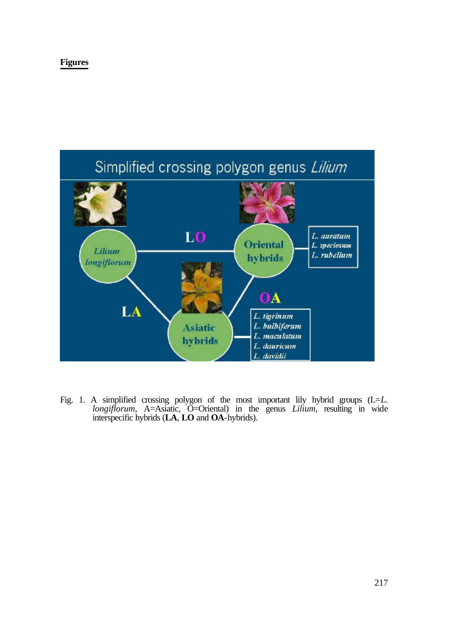## **Figures**



Fig. 1. A simplified crossing polygon of the most important lily hybrid groups (L=*L. longiflorum*, A=Asiatic, O=Oriental) in the genus *Lilium*, resulting in wide interspecific hybrids (**LA**, **LO** and **OA**-hybrids).